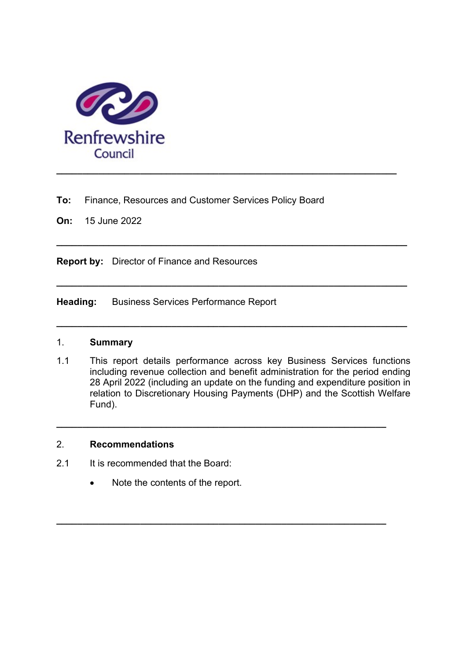

To: Finance, Resources and Customer Services Policy Board

 $\_$  ,  $\_$  ,  $\_$  ,  $\_$  ,  $\_$  ,  $\_$  ,  $\_$  ,  $\_$  ,  $\_$  ,  $\_$  ,  $\_$  ,  $\_$  ,  $\_$  ,  $\_$  ,  $\_$  ,  $\_$  ,  $\_$  ,  $\_$  ,  $\_$ 

 $\_$  ,  $\_$  ,  $\_$  ,  $\_$  ,  $\_$  ,  $\_$  ,  $\_$  ,  $\_$  ,  $\_$  ,  $\_$  ,  $\_$  ,  $\_$  ,  $\_$  ,  $\_$  ,  $\_$  ,  $\_$  ,  $\_$  ,  $\_$  ,  $\_$  ,  $\_$  ,  $\_$  ,  $\_$  ,  $\_$  ,  $\_$  ,  $\_$  ,  $\_$  ,  $\_$  ,  $\_$  ,  $\_$  ,  $\_$  ,  $\_$  ,  $\_$  ,  $\_$  ,  $\_$  ,  $\_$  ,  $\_$  ,  $\_$  ,

 $\_$  ,  $\_$  ,  $\_$  ,  $\_$  ,  $\_$  ,  $\_$  ,  $\_$  ,  $\_$  ,  $\_$  ,  $\_$  ,  $\_$  ,  $\_$  ,  $\_$  ,  $\_$  ,  $\_$  ,  $\_$  ,  $\_$  ,  $\_$  ,  $\_$  ,  $\_$  ,  $\_$  ,  $\_$  ,  $\_$  ,  $\_$  ,  $\_$  ,  $\_$  ,  $\_$  ,  $\_$  ,  $\_$  ,  $\_$  ,  $\_$  ,  $\_$  ,  $\_$  ,  $\_$  ,  $\_$  ,  $\_$  ,  $\_$  ,

 $\_$  ,  $\_$  ,  $\_$  ,  $\_$  ,  $\_$  ,  $\_$  ,  $\_$  ,  $\_$  ,  $\_$  ,  $\_$  ,  $\_$  ,  $\_$  ,  $\_$  ,  $\_$  ,  $\_$  ,  $\_$  ,  $\_$  ,  $\_$  ,  $\_$  ,  $\_$  ,  $\_$  ,  $\_$  ,  $\_$  ,  $\_$  ,  $\_$  ,  $\_$  ,  $\_$  ,  $\_$  ,  $\_$  ,  $\_$  ,  $\_$  ,  $\_$  ,  $\_$  ,  $\_$  ,  $\_$  ,  $\_$  ,  $\_$  ,

On: 15 June 2022

Report by: Director of Finance and Resources

Heading: Business Services Performance Report

### 1. Summary

1.1 This report details performance across key Business Services functions including revenue collection and benefit administration for the period ending 28 April 2022 (including an update on the funding and expenditure position in relation to Discretionary Housing Payments (DHP) and the Scottish Welfare Fund).

\_\_\_\_\_\_\_\_\_\_\_\_\_\_\_\_\_\_\_\_\_\_\_\_\_\_\_\_\_\_\_\_\_\_\_\_\_\_\_\_\_\_\_\_\_\_\_\_\_\_\_\_\_\_\_\_\_\_\_\_\_\_\_

\_\_\_\_\_\_\_\_\_\_\_\_\_\_\_\_\_\_\_\_\_\_\_\_\_\_\_\_\_\_\_\_\_\_\_\_\_\_\_\_\_\_\_\_\_\_\_\_\_\_\_\_\_\_\_\_\_\_\_\_\_\_\_

### 2. Recommendations

- 2.1 It is recommended that the Board:
	- Note the contents of the report.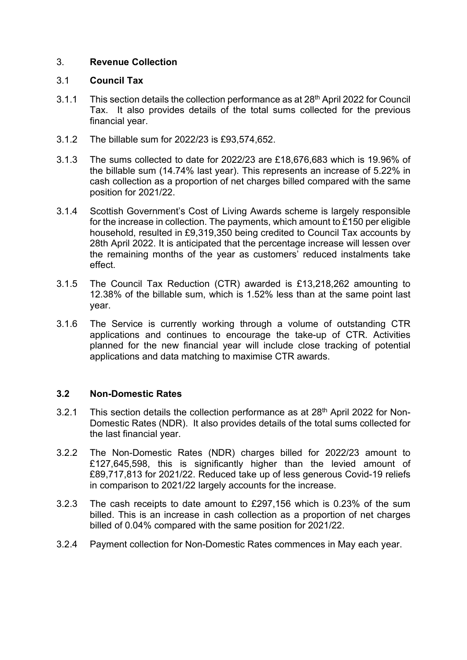### 3. Revenue Collection

#### 3.1 Council Tax

- 3.1.1 This section details the collection performance as at 28th April 2022 for Council Tax. It also provides details of the total sums collected for the previous financial year.
- 3.1.2 The billable sum for 2022/23 is £93,574,652.
- 3.1.3 The sums collected to date for 2022/23 are £18,676,683 which is 19.96% of the billable sum (14.74% last year). This represents an increase of 5.22% in cash collection as a proportion of net charges billed compared with the same position for 2021/22.
- 3.1.4 Scottish Government's Cost of Living Awards scheme is largely responsible for the increase in collection. The payments, which amount to £150 per eligible household, resulted in £9,319,350 being credited to Council Tax accounts by 28th April 2022. It is anticipated that the percentage increase will lessen over the remaining months of the year as customers' reduced instalments take effect.
- 3.1.5 The Council Tax Reduction (CTR) awarded is £13,218,262 amounting to 12.38% of the billable sum, which is 1.52% less than at the same point last year.
- 3.1.6 The Service is currently working through a volume of outstanding CTR applications and continues to encourage the take-up of CTR. Activities planned for the new financial year will include close tracking of potential applications and data matching to maximise CTR awards.

### 3.2 Non-Domestic Rates

- 3.2.1 This section details the collection performance as at  $28<sup>th</sup>$  April 2022 for Non-Domestic Rates (NDR). It also provides details of the total sums collected for the last financial year.
- 3.2.2 The Non-Domestic Rates (NDR) charges billed for 2022/23 amount to £127,645,598, this is significantly higher than the levied amount of £89,717,813 for 2021/22. Reduced take up of less generous Covid-19 reliefs in comparison to 2021/22 largely accounts for the increase.
- 3.2.3 The cash receipts to date amount to £297,156 which is 0.23% of the sum billed. This is an increase in cash collection as a proportion of net charges billed of 0.04% compared with the same position for 2021/22.
- 3.2.4 Payment collection for Non-Domestic Rates commences in May each year.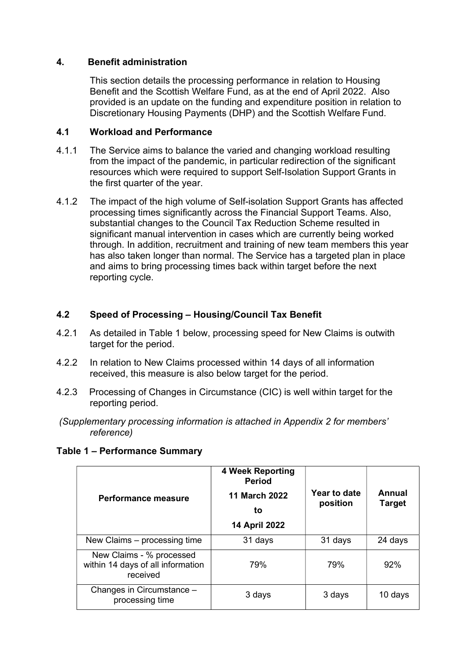### 4. Benefit administration

This section details the processing performance in relation to Housing Benefit and the Scottish Welfare Fund, as at the end of April 2022. Also provided is an update on the funding and expenditure position in relation to Discretionary Housing Payments (DHP) and the Scottish Welfare Fund.

### 4.1 Workload and Performance

- 4.1.1 The Service aims to balance the varied and changing workload resulting from the impact of the pandemic, in particular redirection of the significant resources which were required to support Self-Isolation Support Grants in the first quarter of the year.
- 4.1.2 The impact of the high volume of Self-isolation Support Grants has affected processing times significantly across the Financial Support Teams. Also, substantial changes to the Council Tax Reduction Scheme resulted in significant manual intervention in cases which are currently being worked through. In addition, recruitment and training of new team members this year has also taken longer than normal. The Service has a targeted plan in place and aims to bring processing times back within target before the next reporting cycle.

### 4.2 Speed of Processing – Housing/Council Tax Benefit

- 4.2.1 As detailed in Table 1 below, processing speed for New Claims is outwith target for the period.
- 4.2.2 In relation to New Claims processed within 14 days of all information received, this measure is also below target for the period.
- 4.2.3 Processing of Changes in Circumstance (CIC) is well within target for the reporting period.
- (Supplementary processing information is attached in Appendix 2 for members' reference)

|  | Table 1 - Performance Summary |  |
|--|-------------------------------|--|
|--|-------------------------------|--|

| <b>Performance measure</b>                                                | <b>4 Week Reporting</b><br><b>Period</b><br><b>11 March 2022</b><br>to<br>14 April 2022 | <b>Year to date</b><br>position | Annual<br><b>Target</b> |
|---------------------------------------------------------------------------|-----------------------------------------------------------------------------------------|---------------------------------|-------------------------|
| New Claims - processing time                                              | 31 days                                                                                 | 31 days                         | 24 days                 |
| New Claims - % processed<br>within 14 days of all information<br>received | 79%                                                                                     | 79%                             | 92%                     |
| Changes in Circumstance -<br>processing time                              | 3 days                                                                                  | 3 days                          | 10 days                 |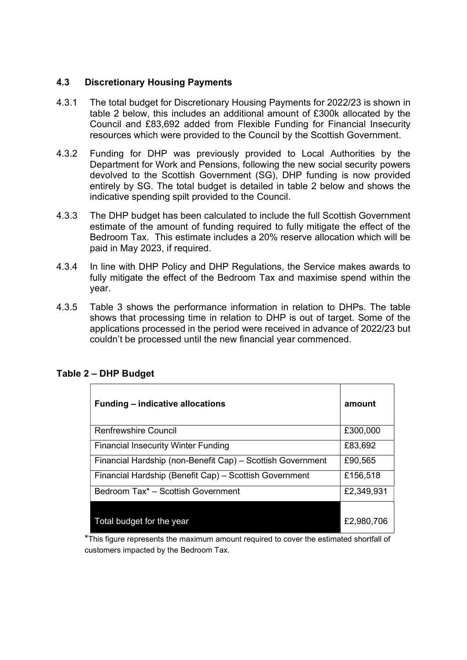### 4.3 Discretionary Housing Payments

- 4.3.1 The total budget for Discretionary Housing Payments for 2022/23 is shown in table 2 below, this includes an additional amount of £300k allocated by the Council and £83,692 added from Flexible Funding for Financial Insecurity resources which were provided to the Council by the Scottish Government.
- 4.3.2 Funding for DHP was previously provided to Local Authorities by the Department for Work and Pensions, following the new social security powers devolved to the Scottish Government (SG), DHP funding is now provided entirely by SG. The total budget is detailed in table 2 below and shows the indicative spending spilt provided to the Council.
- 4.3.3 The DHP budget has been calculated to include the full Scottish Government estimate of the amount of funding required to fully mitigate the effect of the Bedroom Tax. This estimate includes a 20% reserve allocation which will be paid in May 2023, if required.
- 4.3.4 In line with DHP Policy and DHP Regulations, the Service makes awards to fully mitigate the effect of the Bedroom Tax and maximise spend within the year.
- 4.3.5 Table 3 shows the performance information in relation to DHPs. The table shows that processing time in relation to DHP is out of target. Some of the applications processed in the period were received in advance of 2022/23 but couldn't be processed until the new financial year commenced.

| <b>Funding – indicative allocations</b>                    | amount     |
|------------------------------------------------------------|------------|
| <b>Renfrewshire Council</b>                                | £300,000   |
| <b>Financial Insecurity Winter Funding</b>                 | £83,692    |
| Financial Hardship (non-Benefit Cap) - Scottish Government | £90,565    |
| Financial Hardship (Benefit Cap) - Scottish Government     | £156,518   |
| Bedroom Tax <sup>*</sup> - Scottish Government             | £2,349,931 |
| Total budget for the year                                  | £2,980,706 |

### Table 2 – DHP Budget

\*This figure represents the maximum amount required to cover the estimated shortfall of customers impacted by the Bedroom Tax.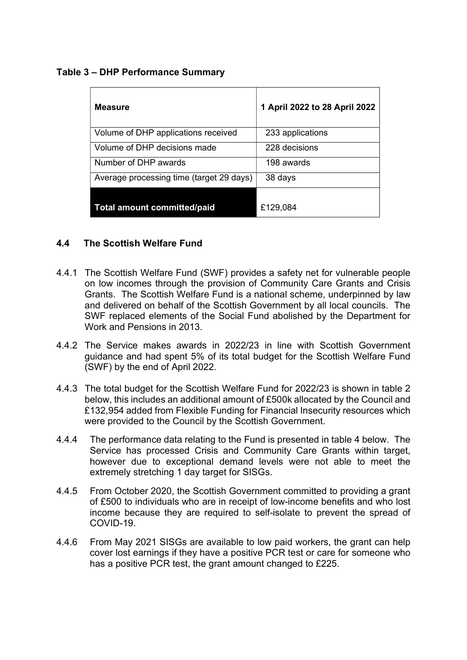### Table 3 – DHP Performance Summary

| <b>Measure</b>                           | 1 April 2022 to 28 April 2022 |
|------------------------------------------|-------------------------------|
| Volume of DHP applications received      | 233 applications              |
| Volume of DHP decisions made             | 228 decisions                 |
| Number of DHP awards                     | 198 awards                    |
| Average processing time (target 29 days) | 38 days                       |
| <b>Total amount committed/paid</b>       | £129,084                      |

### 4.4 The Scottish Welfare Fund

- 4.4.1 The Scottish Welfare Fund (SWF) provides a safety net for vulnerable people on low incomes through the provision of Community Care Grants and Crisis Grants. The Scottish Welfare Fund is a national scheme, underpinned by law and delivered on behalf of the Scottish Government by all local councils. The SWF replaced elements of the Social Fund abolished by the Department for Work and Pensions in 2013.
- 4.4.2 The Service makes awards in 2022/23 in line with Scottish Government guidance and had spent 5% of its total budget for the Scottish Welfare Fund (SWF) by the end of April 2022.
- 4.4.3 The total budget for the Scottish Welfare Fund for 2022/23 is shown in table 2 below, this includes an additional amount of £500k allocated by the Council and £132,954 added from Flexible Funding for Financial Insecurity resources which were provided to the Council by the Scottish Government.
- 4.4.4 The performance data relating to the Fund is presented in table 4 below. The Service has processed Crisis and Community Care Grants within target. however due to exceptional demand levels were not able to meet the extremely stretching 1 day target for SISGs.
- 4.4.5 From October 2020, the Scottish Government committed to providing a grant of £500 to individuals who are in receipt of low-income benefits and who lost income because they are required to self-isolate to prevent the spread of COVID-19.
- 4.4.6 From May 2021 SISGs are available to low paid workers, the grant can help cover lost earnings if they have a positive PCR test or care for someone who has a positive PCR test, the grant amount changed to £225.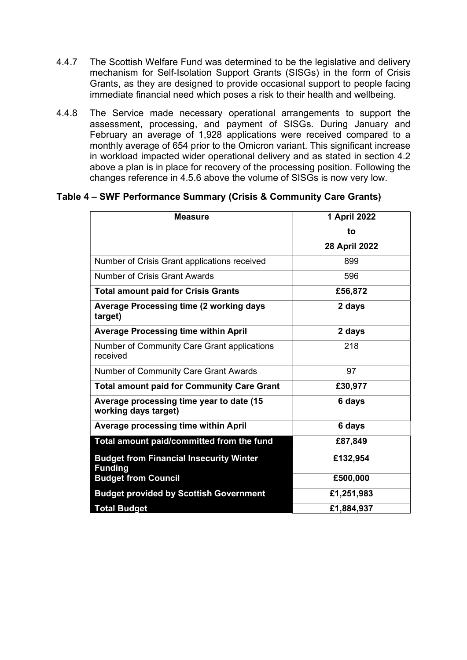- 4.4.7 The Scottish Welfare Fund was determined to be the legislative and delivery mechanism for Self-Isolation Support Grants (SISGs) in the form of Crisis Grants, as they are designed to provide occasional support to people facing immediate financial need which poses a risk to their health and wellbeing.
- 4.4.8 The Service made necessary operational arrangements to support the assessment, processing, and payment of SISGs. During January and February an average of 1,928 applications were received compared to a monthly average of 654 prior to the Omicron variant. This significant increase in workload impacted wider operational delivery and as stated in section 4.2 above a plan is in place for recovery of the processing position. Following the changes reference in 4.5.6 above the volume of SISGs is now very low.

### Table 4 – SWF Performance Summary (Crisis & Community Care Grants)

| <b>Measure</b>                                                   | 1 April 2022  |
|------------------------------------------------------------------|---------------|
|                                                                  | to            |
|                                                                  | 28 April 2022 |
| Number of Crisis Grant applications received                     | 899           |
| Number of Crisis Grant Awards                                    | 596           |
| <b>Total amount paid for Crisis Grants</b>                       | £56,872       |
| <b>Average Processing time (2 working days</b><br>target)        | 2 days        |
| <b>Average Processing time within April</b>                      | 2 days        |
| Number of Community Care Grant applications<br>received          | 218           |
| Number of Community Care Grant Awards                            | 97            |
| <b>Total amount paid for Community Care Grant</b>                | £30,977       |
| Average processing time year to date (15<br>working days target) | 6 days        |
| Average processing time within April                             | 6 days        |
| Total amount paid/committed from the fund                        | £87,849       |
| <b>Budget from Financial Insecurity Winter</b><br><b>Funding</b> | £132,954      |
| <b>Budget from Council</b>                                       | £500,000      |
| <b>Budget provided by Scottish Government</b>                    | £1,251,983    |
| <b>Total Budget</b>                                              | £1,884,937    |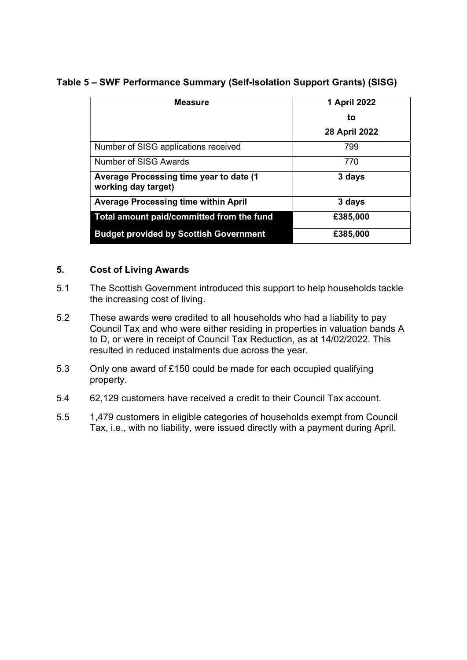### Table 5 – SWF Performance Summary (Self-Isolation Support Grants) (SISG)

| <b>Measure</b>                                                  | 1 April 2022  |
|-----------------------------------------------------------------|---------------|
|                                                                 | to            |
|                                                                 | 28 April 2022 |
| Number of SISG applications received                            | 799           |
| Number of SISG Awards                                           | 770           |
| Average Processing time year to date (1)<br>working day target) | 3 days        |
| <b>Average Processing time within April</b>                     | 3 days        |
| Total amount paid/committed from the fund                       | £385,000      |
| <b>Budget provided by Scottish Government</b>                   | £385,000      |

### 5. Cost of Living Awards

- 5.1 The Scottish Government introduced this support to help households tackle the increasing cost of living.
- 5.2 These awards were credited to all households who had a liability to pay Council Tax and who were either residing in properties in valuation bands A to D, or were in receipt of Council Tax Reduction, as at 14/02/2022. This resulted in reduced instalments due across the year.
- 5.3 Only one award of £150 could be made for each occupied qualifying property.
- 5.4 62,129 customers have received a credit to their Council Tax account.
- 5.5 1,479 customers in eligible categories of households exempt from Council Tax, i.e., with no liability, were issued directly with a payment during April.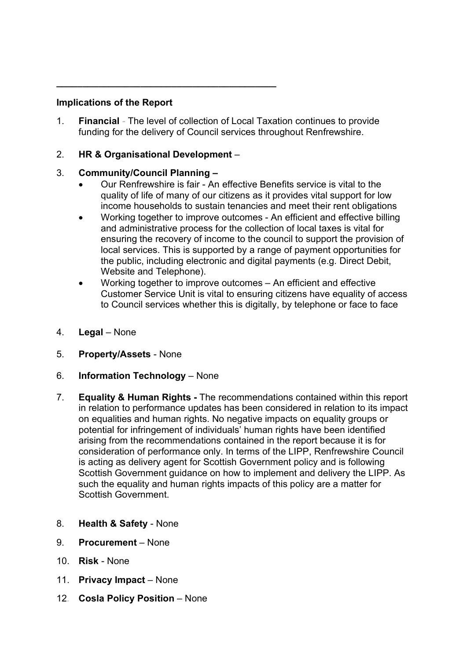### Implications of the Report

1. Financial - The level of collection of Local Taxation continues to provide funding for the delivery of Council services throughout Renfrewshire.

### 2. HR & Organisational Development –

\_\_\_\_\_\_\_\_\_\_\_\_\_\_\_\_\_\_\_\_\_\_\_\_\_\_\_\_\_\_\_\_\_\_\_\_\_\_\_\_\_\_

### 3. Community/Council Planning –

- Our Renfrewshire is fair An effective Benefits service is vital to the quality of life of many of our citizens as it provides vital support for low income households to sustain tenancies and meet their rent obligations
- Working together to improve outcomes An efficient and effective billing and administrative process for the collection of local taxes is vital for ensuring the recovery of income to the council to support the provision of local services. This is supported by a range of payment opportunities for the public, including electronic and digital payments (e.g. Direct Debit, Website and Telephone).
- Working together to improve outcomes An efficient and effective Customer Service Unit is vital to ensuring citizens have equality of access to Council services whether this is digitally, by telephone or face to face
- 4. Legal None
- 5. Property/Assets None
- 6. Information Technology None
- 7. Equality & Human Rights The recommendations contained within this report in relation to performance updates has been considered in relation to its impact on equalities and human rights. No negative impacts on equality groups or potential for infringement of individuals' human rights have been identified arising from the recommendations contained in the report because it is for consideration of performance only. In terms of the LIPP, Renfrewshire Council is acting as delivery agent for Scottish Government policy and is following Scottish Government guidance on how to implement and delivery the LIPP. As such the equality and human rights impacts of this policy are a matter for Scottish Government.
- 8. Health & Safety None
- 9. Procurement None
- 10. Risk None
- 11. Privacy Impact None
- 12. Cosla Policy Position None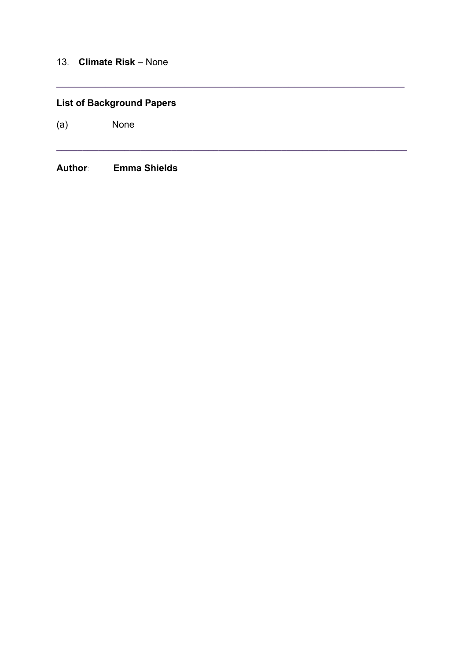### 13. Climate Risk – None

## List of Background Papers

 $\_$  , and the set of the set of the set of the set of the set of the set of the set of the set of the set of the set of the set of the set of the set of the set of the set of the set of the set of the set of the set of th

 $\_$  ,  $\_$  ,  $\_$  ,  $\_$  ,  $\_$  ,  $\_$  ,  $\_$  ,  $\_$  ,  $\_$  ,  $\_$  ,  $\_$  ,  $\_$  ,  $\_$  ,  $\_$  ,  $\_$  ,  $\_$  ,  $\_$  ,  $\_$  ,  $\_$ 

(a) None

Author: Emma Shields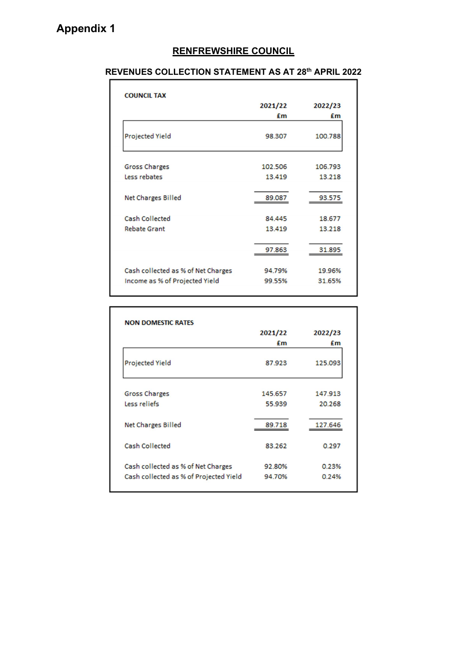# RENFREWSHIRE COUNCIL

### REVENUES COLLECTION STATEMENT AS AT 28th APRIL 2022

|                                    | 2021/22 | 2022/23 |
|------------------------------------|---------|---------|
|                                    | £m      | £m      |
| <b>Projected Yield</b>             | 98.307  | 100.788 |
| <b>Gross Charges</b>               | 102.506 | 106.793 |
| Less rebates                       | 13.419  | 13.218  |
| <b>Net Charges Billed</b>          | 89.087  | 93.575  |
| <b>Cash Collected</b>              | 84.445  | 18.677  |
| <b>Rebate Grant</b>                | 13419   | 13.218  |
|                                    | 97.863  | 31.895  |
| Cash collected as % of Net Charges | 94.79%  | 19.96%  |
| Income as % of Projected Yield     | 99.55%  | 31.65%  |

|                                        | 2021/22 | 2022/23 |
|----------------------------------------|---------|---------|
|                                        | Em      | £m      |
| <b>Projected Yield</b>                 | 87.923  | 125.093 |
| <b>Gross Charges</b>                   | 145.657 | 147.913 |
| Less reliefs                           | 55.939  | 20.268  |
| <b>Net Charges Billed</b>              | 89.718  | 127.646 |
| Cash Collected                         | 83.262  | 0.297   |
| Cash collected as % of Net Charges     | 92.80%  | 0.23%   |
| Cash collected as % of Projected Yield | 94.70%  | 0.24%   |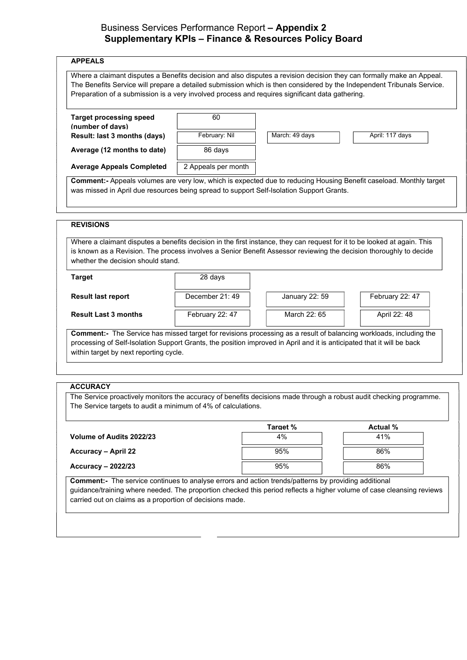### Business Services Performance Report – Appendix 2 Supplementary KPIs – Finance & Resources Policy Board

| <b>Target processing speed</b>                                                                                                                                                                                                                                                                                                     | 60                  |                |                 |
|------------------------------------------------------------------------------------------------------------------------------------------------------------------------------------------------------------------------------------------------------------------------------------------------------------------------------------|---------------------|----------------|-----------------|
| (number of davs)                                                                                                                                                                                                                                                                                                                   |                     |                |                 |
| Result: last 3 months (days)                                                                                                                                                                                                                                                                                                       | February: Nil       | March: 49 days | April: 117 days |
| Average (12 months to date)                                                                                                                                                                                                                                                                                                        | 86 days             |                |                 |
| <b>Average Appeals Completed</b>                                                                                                                                                                                                                                                                                                   | 2 Appeals per month |                |                 |
|                                                                                                                                                                                                                                                                                                                                    |                     |                |                 |
|                                                                                                                                                                                                                                                                                                                                    |                     |                |                 |
|                                                                                                                                                                                                                                                                                                                                    | 28 days             |                |                 |
|                                                                                                                                                                                                                                                                                                                                    | December 21: 49     | January 22: 59 | February 22: 47 |
| Where a claimant disputes a benefits decision in the first instance, they can request for it to be looked at again. This<br>is known as a Revision. The process involves a Senior Benefit Assessor reviewing the decision thoroughly to decide<br>whether the decision should stand.<br><b>Target</b><br><b>Result last report</b> |                     |                |                 |

The Service proactively monitors the accuracy of benefits decisions made through a robust audit checking programme. The Service targets to audit a minimum of 4% of calculations.

|                                  | Target % | <b>Actual %</b> |
|----------------------------------|----------|-----------------|
| Volume of Audits 2022/23         | 4%       | 41%             |
| Accuracy – April 22              | 95%      | 86%             |
| <b>Accuracy - 2022/23</b>        | 95%      | 86%             |
| $\cdot$<br>$\sim$ $\sim$<br>$-1$ | $\cdots$ | .<br>.          |

Comment:- The service continues to analyse errors and action trends/patterns by providing additional guidance/training where needed. The proportion checked this period reflects a higher volume of case cleansing reviews carried out on claims as a proportion of decisions made.